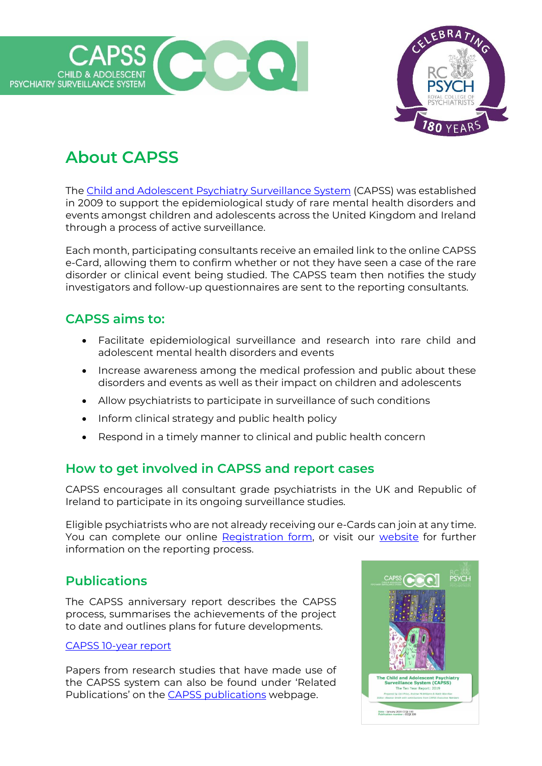



# **About CAPSS**

The [Child and Adolescent Psychiatry Surveillance System](https://www.rcpsych.ac.uk/improving-care/ccqi/research-and-evaluation/current-research/capss) (CAPSS) was established in 2009 to support the epidemiological study of rare mental health disorders and events amongst children and adolescents across the United Kingdom and Ireland through a process of active surveillance.

Each month, participating consultants receive an emailed link to the online CAPSS e-Card, allowing them to confirm whether or not they have seen a case of the rare disorder or clinical event being studied. The CAPSS team then notifies the study investigators and follow-up questionnaires are sent to the reporting consultants.

## **CAPSS aims to:**

- Facilitate epidemiological surveillance and research into rare child and adolescent mental health disorders and events
- Increase awareness among the medical profession and public about these disorders and events as well as their impact on children and adolescents
- Allow psychiatrists to participate in surveillance of such conditions
- Inform clinical strategy and public health policy
- Respond in a timely manner to clinical and public health concern

# **How to get involved in CAPSS and report cases**

CAPSS encourages all consultant grade psychiatrists in the UK and Republic of Ireland to participate in its ongoing surveillance studies.

Eligible psychiatrists who are not already receiving our e-Cards can join at any time. You can complete our online [Registration form,](https://forms.office.com/Pages/ResponsePage.aspx?id=isSqdaspMEKtrGnT5-0-dxfidtGZY_tFtgzU_uYw4_BUQkJHTFkxTkxPQk9ZTEhNTUQyWjkzS0E1NC4u) or visit our [website](https://www.rcpsych.ac.uk/improving-care/ccqi/research-and-evaluation/current-research/capss/capss-reporting-process) for further information on the reporting process.

## **Publications**

The CAPSS anniversary report describes the CAPSS process, summarises the achievements of the project to date and outlines plans for future developments.

#### [CAPSS 10-year report](https://www.rcpsych.ac.uk/docs/default-source/default-document-library/capss-10-year-report-final.pdf?sfvrsn=e3402268_2)

Papers from research studies that have made use of the CAPSS system can also be found under 'Related Publications' on the [CAPSS publications](https://www.rcpsych.ac.uk/improving-care/ccqi/research-and-evaluation/current-research/capss/capss-publications) webpage.